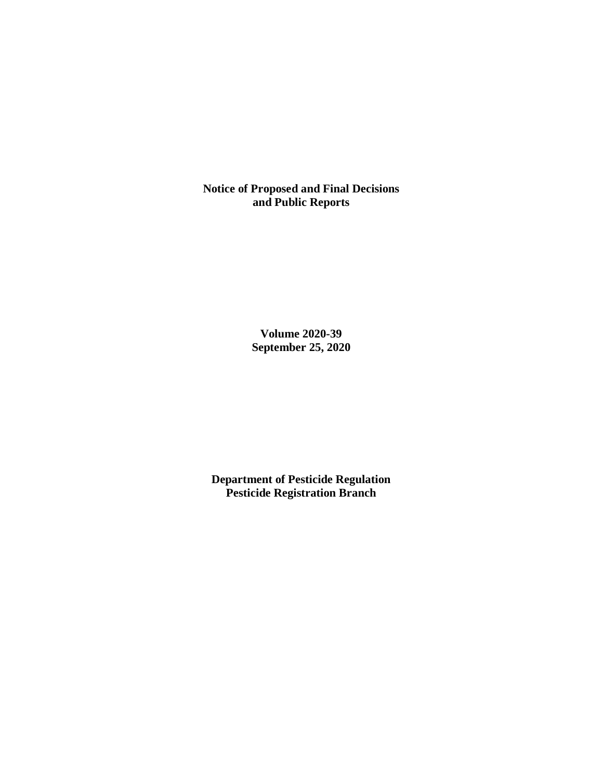**Notice of Proposed and Final Decisions and Public Reports**

> **Volume 2020-39 September 25, 2020**

**Department of Pesticide Regulation Pesticide Registration Branch**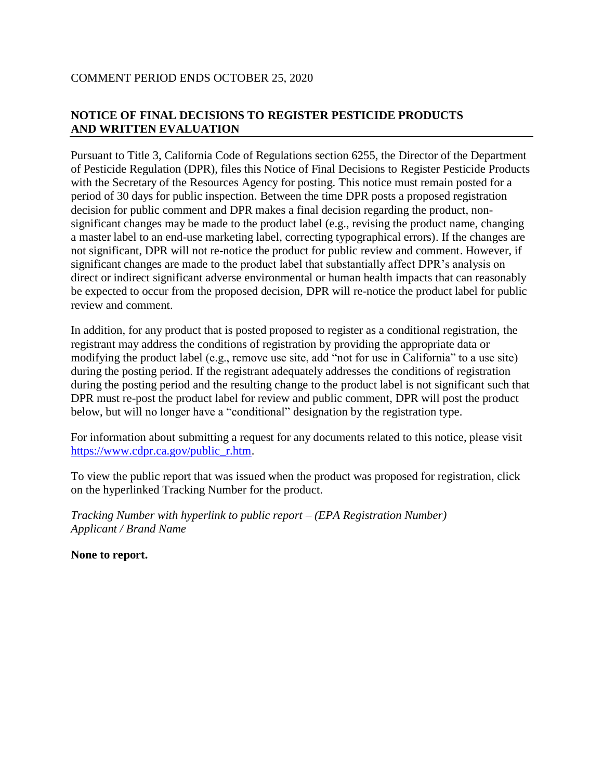# COMMENT PERIOD ENDS OCTOBER 25, 2020

# **NOTICE OF FINAL DECISIONS TO REGISTER PESTICIDE PRODUCTS AND WRITTEN EVALUATION**

Pursuant to Title 3, California Code of Regulations section 6255, the Director of the Department of Pesticide Regulation (DPR), files this Notice of Final Decisions to Register Pesticide Products with the Secretary of the Resources Agency for posting. This notice must remain posted for a period of 30 days for public inspection. Between the time DPR posts a proposed registration decision for public comment and DPR makes a final decision regarding the product, nonsignificant changes may be made to the product label (e.g., revising the product name, changing a master label to an end-use marketing label, correcting typographical errors). If the changes are not significant, DPR will not re-notice the product for public review and comment. However, if significant changes are made to the product label that substantially affect DPR's analysis on direct or indirect significant adverse environmental or human health impacts that can reasonably be expected to occur from the proposed decision, DPR will re-notice the product label for public review and comment.

In addition, for any product that is posted proposed to register as a conditional registration, the registrant may address the conditions of registration by providing the appropriate data or modifying the product label (e.g., remove use site, add "not for use in California" to a use site) during the posting period. If the registrant adequately addresses the conditions of registration during the posting period and the resulting change to the product label is not significant such that DPR must re-post the product label for review and public comment, DPR will post the product below, but will no longer have a "conditional" designation by the registration type.

For information about submitting a request for any documents related to this notice, please visit [https://www.cdpr.ca.gov/public\\_r.htm.](https://www.cdpr.ca.gov/public_r.htm)

To view the public report that was issued when the product was proposed for registration, click on the hyperlinked Tracking Number for the product.

*Tracking Number with hyperlink to public report – (EPA Registration Number) Applicant / Brand Name*

**None to report.**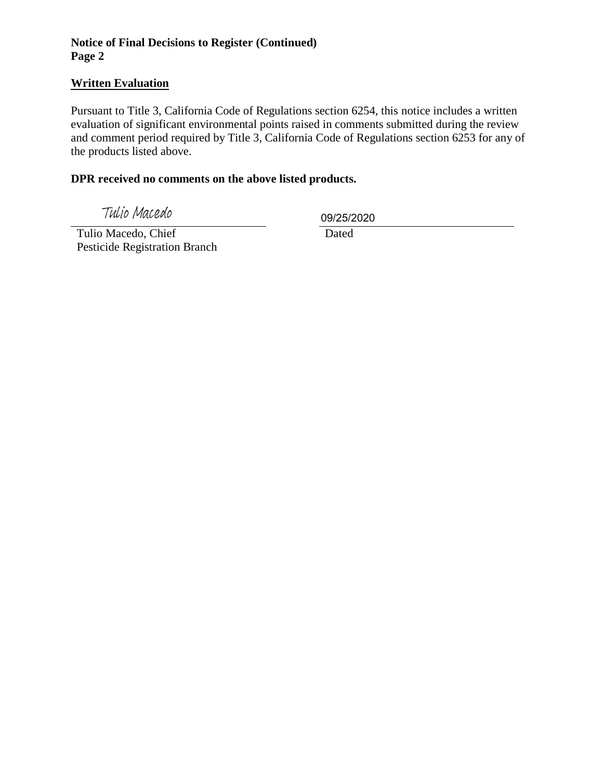# **Notice of Final Decisions to Register (Continued) Page 2**

# **Written Evaluation**

Pursuant to Title 3, California Code of Regulations section 6254, this notice includes a written evaluation of significant environmental points raised in comments submitted during the review and comment period required by Title 3, California Code of Regulations section 6253 for any of the products listed above.

#### **DPR received no comments on the above listed products.**

Tulio Macedo

09/25/2020

 Tulio Macedo, Chief Pesticide Registration Branch

**Dated**